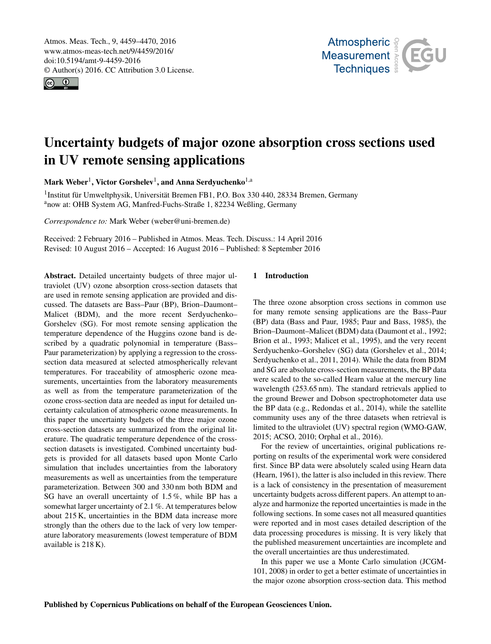<span id="page-0-1"></span>Atmos. Meas. Tech., 9, 4459–4470, 2016 www.atmos-meas-tech.net/9/4459/2016/ doi:10.5194/amt-9-4459-2016 © Author(s) 2016. CC Attribution 3.0 License.





# Uncertainty budgets of major ozone absorption cross sections used in UV remote sensing applications

Mark Weber $^1$  $^1$ , Victor Gorshelev $^1$ , and Anna Serdyuchenko $^{1, \rm a}$ 

<sup>1</sup> Institut für Umweltphysik, Universität Bremen FB1, P.O. Box 330 440, 28334 Bremen, Germany <sup>a</sup>now at: OHB System AG, Manfred-Fuchs-Straße 1, 82234 Weßling, Germany

*Correspondence to:* Mark Weber (weber@uni-bremen.de)

Received: 2 February 2016 – Published in Atmos. Meas. Tech. Discuss.: 14 April 2016 Revised: 10 August 2016 – Accepted: 16 August 2016 – Published: 8 September 2016

<span id="page-0-0"></span>Abstract. Detailed uncertainty budgets of three major ultraviolet (UV) ozone absorption cross-section datasets that are used in remote sensing application are provided and discussed. The datasets are Bass–Paur (BP), Brion–Daumont– Malicet (BDM), and the more recent Serdyuchenko– Gorshelev (SG). For most remote sensing application the temperature dependence of the Huggins ozone band is described by a quadratic polynomial in temperature (Bass– Paur parameterization) by applying a regression to the crosssection data measured at selected atmospherically relevant temperatures. For traceability of atmospheric ozone measurements, uncertainties from the laboratory measurements as well as from the temperature parameterization of the ozone cross-section data are needed as input for detailed uncertainty calculation of atmospheric ozone measurements. In this paper the uncertainty budgets of the three major ozone cross-section datasets are summarized from the original literature. The quadratic temperature dependence of the crosssection datasets is investigated. Combined uncertainty budgets is provided for all datasets based upon Monte Carlo simulation that includes uncertainties from the laboratory measurements as well as uncertainties from the temperature parameterization. Between 300 and 330 nm both BDM and SG have an overall uncertainty of 1.5 %, while BP has a somewhat larger uncertainty of 2.1 %. At temperatures below about 215 K, uncertainties in the BDM data increase more strongly than the others due to the lack of very low temperature laboratory measurements (lowest temperature of BDM available is 218 K).

# 1 Introduction

The three ozone absorption cross sections in common use for many remote sensing applications are the Bass–Paur (BP) data (Bass and Paur, 1985; Paur and Bass, 1985), the Brion–Daumont–Malicet (BDM) data (Daumont et al., 1992; Brion et al., 1993; Malicet et al., 1995), and the very recent Serdyuchenko–Gorshelev (SG) data (Gorshelev et al., 2014; Serdyuchenko et al., 2011, 2014). While the data from BDM and SG are absolute cross-section measurements, the BP data were scaled to the so-called Hearn value at the mercury line wavelength (253.65 nm). The standard retrievals applied to the ground Brewer and Dobson spectrophotometer data use the BP data (e.g., Redondas et al., 2014), while the satellite community uses any of the three datasets when retrieval is limited to the ultraviolet (UV) spectral region (WMO-GAW, 2015; ACSO, 2010; Orphal et al., 2016).

For the review of uncertainties, original publications reporting on results of the experimental work were considered first. Since BP data were absolutely scaled using Hearn data (Hearn, 1961), the latter is also included in this review. There is a lack of consistency in the presentation of measurement uncertainty budgets across different papers. An attempt to analyze and harmonize the reported uncertainties is made in the following sections. In some cases not all measured quantities were reported and in most cases detailed description of the data processing procedures is missing. It is very likely that the published measurement uncertainties are incomplete and the overall uncertainties are thus underestimated.

In this paper we use a Monte Carlo simulation (JCGM-101, 2008) in order to get a better estimate of uncertainties in the major ozone absorption cross-section data. This method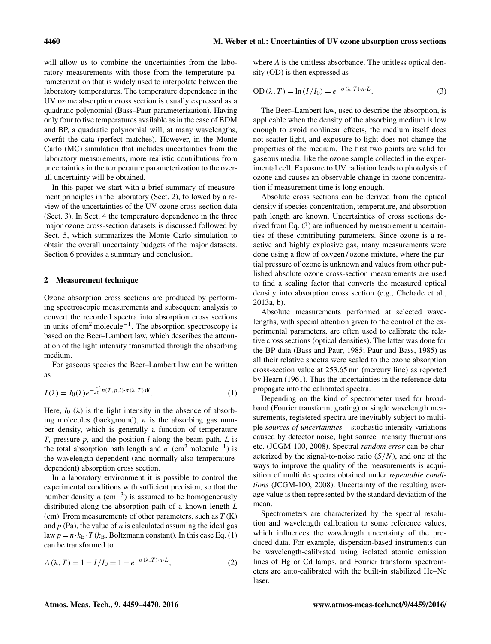will allow us to combine the uncertainties from the laboratory measurements with those from the temperature parameterization that is widely used to interpolate between the laboratory temperatures. The temperature dependence in the UV ozone absorption cross section is usually expressed as a quadratic polynomial (Bass–Paur parameterization). Having only four to five temperatures available as in the case of BDM and BP, a quadratic polynomial will, at many wavelengths, overfit the data (perfect matches). However, in the Monte Carlo (MC) simulation that includes uncertainties from the laboratory measurements, more realistic contributions from uncertainties in the temperature parameterization to the overall uncertainty will be obtained.

In this paper we start with a brief summary of measurement principles in the laboratory (Sect. 2), followed by a review of the uncertainties of the UV ozone cross-section data (Sect. 3). In Sect. 4 the temperature dependence in the three major ozone cross-section datasets is discussed followed by Sect. 5, which summarizes the Monte Carlo simulation to obtain the overall uncertainty budgets of the major datasets. Section 6 provides a summary and conclusion.

#### 2 Measurement technique

Ozone absorption cross sections are produced by performing spectroscopic measurements and subsequent analysis to convert the recorded spectra into absorption cross sections in units of cm<sup>2</sup> molecule−<sup>1</sup> . The absorption spectroscopy is based on the Beer–Lambert law, which describes the attenuation of the light intensity transmitted through the absorbing medium.

For gaseous species the Beer–Lambert law can be written as

$$
I(\lambda) = I_0(\lambda)e^{-\int_0^L n(T, p, l)\cdot \sigma(\lambda, T) \, \mathrm{d}l}.\tag{1}
$$

Here,  $I_0$  ( $\lambda$ ) is the light intensity in the absence of absorbing molecules (background),  $n$  is the absorbing gas number density, which is generally a function of temperature *T*, pressure *p*, and the position *l* along the beam path. *L* is the total absorption path length and  $\sigma$  (cm<sup>2</sup> molecule<sup>-1</sup>) is the wavelength-dependent (and normally also temperaturedependent) absorption cross section.

In a laboratory environment it is possible to control the experimental conditions with sufficient precision, so that the number density  $n \text{ (cm}^{-3})$  is assumed to be homogeneously distributed along the absorption path of a known length *L* (cm). From measurements of other parameters, such as *T* (K) and  $p$  (Pa), the value of  $n$  is calculated assuming the ideal gas law  $p = n \cdot k_B \cdot T(k_B,$  Boltzmann constant). In this case Eq. (1) can be transformed to

$$
A(\lambda, T) = 1 - I/I_0 = 1 - e^{-\sigma(\lambda, T) \cdot n \cdot L},
$$
\n(2)

where *A* is the unitless absorbance. The unitless optical density (OD) is then expressed as

$$
OD\left(\lambda, T\right) = \ln\left(\frac{I}{I_0}\right) = e^{-\sigma\left(\lambda, T\right) \cdot n \cdot L}.\tag{3}
$$

The Beer–Lambert law, used to describe the absorption, is applicable when the density of the absorbing medium is low enough to avoid nonlinear effects, the medium itself does not scatter light, and exposure to light does not change the properties of the medium. The first two points are valid for gaseous media, like the ozone sample collected in the experimental cell. Exposure to UV radiation leads to photolysis of ozone and causes an observable change in ozone concentration if measurement time is long enough.

Absolute cross sections can be derived from the optical density if species concentration, temperature, and absorption path length are known. Uncertainties of cross sections derived from Eq. (3) are influenced by measurement uncertainties of these contributing parameters. Since ozone is a reactive and highly explosive gas, many measurements were done using a flow of oxygen / ozone mixture, where the partial pressure of ozone is unknown and values from other published absolute ozone cross-section measurements are used to find a scaling factor that converts the measured optical density into absorption cross section (e.g., Chehade et al., 2013a, b).

Absolute measurements performed at selected wavelengths, with special attention given to the control of the experimental parameters, are often used to calibrate the relative cross sections (optical densities). The latter was done for the BP data (Bass and Paur, 1985; Paur and Bass, 1985) as all their relative spectra were scaled to the ozone absorption cross-section value at 253.65 nm (mercury line) as reported by Hearn (1961). Thus the uncertainties in the reference data propagate into the calibrated spectra.

Depending on the kind of spectrometer used for broadband (Fourier transform, grating) or single wavelength measurements, registered spectra are inevitably subject to multiple *sources of uncertainties* – stochastic intensity variations caused by detector noise, light source intensity fluctuations etc. (JCGM-100, 2008). Spectral *random error* can be characterized by the signal-to-noise ratio  $(S/N)$ , and one of the ways to improve the quality of the measurements is acquisition of multiple spectra obtained under *repeatable conditions* (JCGM-100, 2008). Uncertainty of the resulting average value is then represented by the standard deviation of the mean.

Spectrometers are characterized by the spectral resolution and wavelength calibration to some reference values, which influences the wavelength uncertainty of the produced data. For example, dispersion-based instruments can be wavelength-calibrated using isolated atomic emission lines of Hg or Cd lamps, and Fourier transform spectrometers are auto-calibrated with the built-in stabilized He–Ne laser.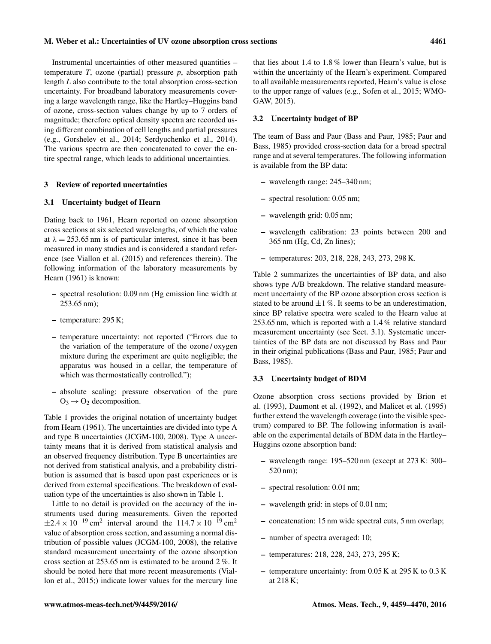Instrumental uncertainties of other measured quantities – temperature *T*, ozone (partial) pressure *p*, absorption path length *L* also contribute to the total absorption cross-section uncertainty. For broadband laboratory measurements covering a large wavelength range, like the Hartley–Huggins band of ozone, cross-section values change by up to 7 orders of magnitude; therefore optical density spectra are recorded using different combination of cell lengths and partial pressures (e.g., Gorshelev et al., 2014; Serdyuchenko et al., 2014). The various spectra are then concatenated to cover the entire spectral range, which leads to additional uncertainties.

#### 3 Review of reported uncertainties

## 3.1 Uncertainty budget of Hearn

Dating back to 1961, Hearn reported on ozone absorption cross sections at six selected wavelengths, of which the value at  $\lambda = 253.65$  nm is of particular interest, since it has been measured in many studies and is considered a standard reference (see Viallon et al. (2015) and references therein). The following information of the laboratory measurements by Hearn (1961) is known:

- spectral resolution: 0.09 nm (Hg emission line width at 253.65 nm);
- temperature: 295 K;
- temperature uncertainty: not reported ("Errors due to the variation of the temperature of the ozone / oxygen mixture during the experiment are quite negligible; the apparatus was housed in a cellar, the temperature of which was thermostatically controlled.");
- absolute scaling: pressure observation of the pure  $O_3 \rightarrow O_2$  decomposition.

Table 1 provides the original notation of uncertainty budget from Hearn (1961). The uncertainties are divided into type A and type B uncertainties (JCGM-100, 2008). Type A uncertainty means that it is derived from statistical analysis and an observed frequency distribution. Type B uncertainties are not derived from statistical analysis, and a probability distribution is assumed that is based upon past experiences or is derived from external specifications. The breakdown of evaluation type of the uncertainties is also shown in Table 1.

Little to no detail is provided on the accuracy of the instruments used during measurements. Given the reported  $\pm 2.4 \times 10^{-19}$  cm<sup>2</sup> interval around the  $114.7 \times 10^{-19}$  cm<sup>2</sup> value of absorption cross section, and assuming a normal distribution of possible values (JCGM-100, 2008), the relative standard measurement uncertainty of the ozone absorption cross section at 253.65 nm is estimated to be around 2 %. It should be noted here that more recent measurements (Viallon et al., 2015;) indicate lower values for the mercury line

that lies about 1.4 to 1.8 % lower than Hearn's value, but is within the uncertainty of the Hearn's experiment. Compared to all available measurements reported, Hearn's value is close to the upper range of values (e.g., Sofen et al., 2015; WMO-GAW, 2015).

## 3.2 Uncertainty budget of BP

The team of Bass and Paur (Bass and Paur, 1985; Paur and Bass, 1985) provided cross-section data for a broad spectral range and at several temperatures. The following information is available from the BP data:

- wavelength range: 245–340 nm;
- spectral resolution: 0.05 nm;
- wavelength grid: 0.05 nm;
- wavelength calibration: 23 points between 200 and 365 nm (Hg, Cd, Zn lines);
- temperatures: 203, 218, 228, 243, 273, 298 K.

Table 2 summarizes the uncertainties of BP data, and also shows type A/B breakdown. The relative standard measurement uncertainty of the BP ozone absorption cross section is stated to be around  $\pm 1$  %. It seems to be an underestimation, since BP relative spectra were scaled to the Hearn value at 253.65 nm, which is reported with a 1.4 % relative standard measurement uncertainty (see Sect. 3.1). Systematic uncertainties of the BP data are not discussed by Bass and Paur in their original publications (Bass and Paur, 1985; Paur and Bass, 1985).

## 3.3 Uncertainty budget of BDM

Ozone absorption cross sections provided by Brion et al. (1993), Daumont et al. (1992), and Malicet et al. (1995) further extend the wavelength coverage (into the visible spectrum) compared to BP. The following information is available on the experimental details of BDM data in the Hartley– Huggins ozone absorption band:

- wavelength range: 195–520 nm (except at 273 K: 300– 520 nm);
- spectral resolution: 0.01 nm;
- wavelength grid: in steps of 0.01 nm;
- concatenation: 15 nm wide spectral cuts, 5 nm overlap;
- number of spectra averaged: 10;
- temperatures: 218, 228, 243, 273, 295 K;
- temperature uncertainty: from 0.05 K at 295 K to 0.3 K at 218 K;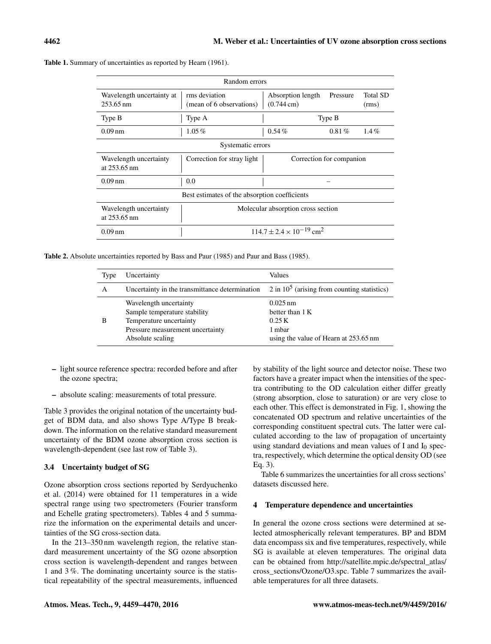| Random errors                                       |                                                 |                                           |          |                          |  |
|-----------------------------------------------------|-------------------------------------------------|-------------------------------------------|----------|--------------------------|--|
| Wavelength uncertainty at<br>$253.65 \,\mathrm{nm}$ | rms deviation<br>(mean of 6 observations)       | Absorption length<br>$(0.744 \text{ cm})$ | Pressure | <b>Total SD</b><br>(rms) |  |
| Type B                                              | Type A                                          |                                           | Type B   |                          |  |
| $0.09$ nm                                           | $1.05\%$                                        | $0.54\%$                                  | $0.81\%$ | $1.4\%$                  |  |
| Systematic errors                                   |                                                 |                                           |          |                          |  |
| Wavelength uncertainty<br>at 253.65 nm              | Correction for stray light                      | Correction for companion                  |          |                          |  |
| $0.09 \,\mathrm{nm}$                                | 0.0                                             |                                           |          |                          |  |
| Best estimates of the absorption coefficients       |                                                 |                                           |          |                          |  |
| Wavelength uncertainty<br>at 253.65 nm              | Molecular absorption cross section              |                                           |          |                          |  |
| $0.09$ nm                                           | $114.7 \pm 2.4 \times 10^{-19}$ cm <sup>2</sup> |                                           |          |                          |  |

Table 1. Summary of uncertainties as reported by Hearn (1961).

Table 2. Absolute uncertainties reported by Bass and Paur (1985) and Paur and Bass (1985).

| Type | Uncertainty                                                                                                                               | Values                                                                                                  |
|------|-------------------------------------------------------------------------------------------------------------------------------------------|---------------------------------------------------------------------------------------------------------|
| A    | Uncertainty in the transmittance determination                                                                                            | $2$ in $10^5$ (arising from counting statistics)                                                        |
| В    | Wavelength uncertainty<br>Sample temperature stability<br>Temperature uncertainty<br>Pressure measurement uncertainty<br>Absolute scaling | $0.025 \,\mathrm{nm}$<br>better than $1 K$<br>0.25 K<br>1 mbar<br>using the value of Hearn at 253.65 nm |

- light source reference spectra: recorded before and after the ozone spectra;
- absolute scaling: measurements of total pressure.

Table 3 provides the original notation of the uncertainty budget of BDM data, and also shows Type A/Type B breakdown. The information on the relative standard measurement uncertainty of the BDM ozone absorption cross section is wavelength-dependent (see last row of Table 3).

# 3.4 Uncertainty budget of SG

Ozone absorption cross sections reported by Serdyuchenko et al. (2014) were obtained for 11 temperatures in a wide spectral range using two spectrometers (Fourier transform and Echelle grating spectrometers). Tables 4 and 5 summarize the information on the experimental details and uncertainties of the SG cross-section data.

In the 213–350 nm wavelength region, the relative standard measurement uncertainty of the SG ozone absorption cross section is wavelength-dependent and ranges between 1 and 3 %. The dominating uncertainty source is the statistical repeatability of the spectral measurements, influenced by stability of the light source and detector noise. These two factors have a greater impact when the intensities of the spectra contributing to the OD calculation either differ greatly (strong absorption, close to saturation) or are very close to each other. This effect is demonstrated in Fig. 1, showing the concatenated OD spectrum and relative uncertainties of the corresponding constituent spectral cuts. The latter were calculated according to the law of propagation of uncertainty using standard deviations and mean values of I and  $I_0$  spectra, respectively, which determine the optical density OD (see Eq. 3).

Table 6 summarizes the uncertainties for all cross sections' datasets discussed here.

# 4 Temperature dependence and uncertainties

In general the ozone cross sections were determined at selected atmospherically relevant temperatures. BP and BDM data encompass six and five temperatures, respectively, while SG is available at eleven temperatures. The original data can be obtained from [http://satellite.mpic.de/spectral\\_atlas/](http://satellite.mpic.de/spectral_atlas/cross_sections/Ozone/O3.spc) [cross\\_sections/Ozone/O3.spc.](http://satellite.mpic.de/spectral_atlas/cross_sections/Ozone/O3.spc) Table 7 summarizes the available temperatures for all three datasets.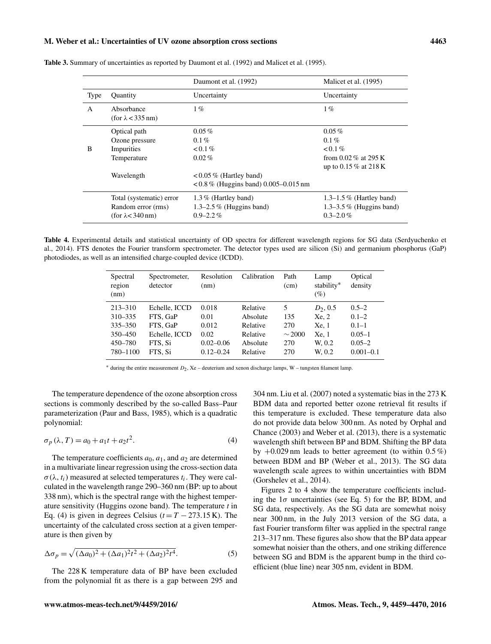## M. Weber et al.: Uncertainties of UV ozone absorption cross sections 4463

|              |                                        | Daumont et al. (1992)                   | Malicet et al. (1995)                           |
|--------------|----------------------------------------|-----------------------------------------|-------------------------------------------------|
| Type         | <b>Quantity</b>                        | Uncertainty                             | Uncertainty                                     |
| $\mathsf{A}$ | Absorbance<br>(for $\lambda$ < 335 nm) | $1\%$                                   | $1\%$                                           |
|              | Optical path                           | $0.05\%$                                | $0.05\%$                                        |
|              | Ozone pressure                         | $0.1\%$                                 | $0.1\%$                                         |
| B            | Impurities                             | $0.1\%$                                 | $0.1\%$                                         |
|              | Temperature                            | $0.02\%$                                | from $0.02\%$ at 295 K<br>up to 0.15 % at 218 K |
|              | Wavelength                             | $< 0.05\%$ (Hartley band)               |                                                 |
|              |                                        | $< 0.8\%$ (Huggins band) 0.005–0.015 nm |                                                 |
|              | Total (systematic) error               | 1.3% (Hartley band)                     | $1.3-1.5\%$ (Hartley band)                      |
|              | Random error (rms)                     | $1.3-2.5\%$ (Huggins band)              | $1.3-3.5\%$ (Huggins band)                      |
|              | (for $\lambda$ < 340 nm)               | $0.9 - 2.2\%$                           | $0.3 - 2.0\%$                                   |

Table 3. Summary of uncertainties as reported by Daumont et al. (1992) and Malicet et al. (1995).

Table 4. Experimental details and statistical uncertainty of OD spectra for different wavelength regions for SG data (Serdyuchenko et al., 2014). FTS denotes the Fourier transform spectrometer. The detector types used are silicon (Si) and germanium phosphorus (GaP) photodiodes, as well as an intensified charge-coupled device (ICDD).

| Spectral<br>region<br>(nm) | Spectrometer,<br>detector | Resolution<br>(nm) | Calibration | Path<br>(cm) | Lamp<br>stability*<br>(%) | Optical<br>density |
|----------------------------|---------------------------|--------------------|-------------|--------------|---------------------------|--------------------|
| $213 - 310$                | Echelle, ICCD             | 0.018              | Relative    | 5            | $D_2, 0.5$                | $0.5 - 2$          |
| 310-335                    | FTS. GaP                  | 0.01               | Absolute    | 135          | Xe, 2                     | $0.1 - 2$          |
| 335 - 350                  | FTS. GaP                  | 0.012              | Relative    | 270          | Xe, 1                     | $0.1 - 1$          |
| 350-450                    | Echelle, ICCD             | 0.02               | Relative    | $\sim$ 2000  | Xe, 1                     | $0.05 - 1$         |
| 450-780                    | FTS. Si                   | $0.02 - 0.06$      | Absolute    | 270          | W. 0.2                    | $0.05 - 2$         |
| 780-1100                   | FTS, Si                   | $0.12 - 0.24$      | Relative    | 270          | W. 0.2                    | $0.001 - 0.1$      |

<sup>∗</sup> during the entire measurement <sup>D</sup><sup>2</sup> , Xe – deuterium and xenon discharge lamps, W – tungsten filament lamp.

The temperature dependence of the ozone absorption cross sections is commonly described by the so-called Bass–Paur parameterization (Paur and Bass, 1985), which is a quadratic polynomial:

$$
\sigma_p(\lambda, T) = a_0 + a_1 t + a_2 t^2.
$$
 (4)

The temperature coefficients  $a_0$ ,  $a_1$ , and  $a_2$  are determined in a multivariate linear regression using the cross-section data  $\sigma(\lambda, t_i)$  measured at selected temperatures  $t_i$ . They were calculated in the wavelength range 290–360 nm (BP: up to about 338 nm), which is the spectral range with the highest temperature sensitivity (Huggins ozone band). The temperature *t* in Eq. (4) is given in degrees Celsius ( $t = T - 273.15$  K). The uncertainty of the calculated cross section at a given temperature is then given by

$$
\Delta \sigma_p = \sqrt{(\Delta a_0)^2 + (\Delta a_1)^2 t^2 + (\Delta a_2)^2 t^4}.
$$
 (5)

The 228 K temperature data of BP have been excluded from the polynomial fit as there is a gap between 295 and 304 nm. Liu et al. (2007) noted a systematic bias in the 273 K BDM data and reported better ozone retrieval fit results if this temperature is excluded. These temperature data also do not provide data below 300 nm. As noted by Orphal and Chance (2003) and Weber et al. (2013), there is a systematic wavelength shift between BP and BDM. Shifting the BP data by  $+0.029$  nm leads to better agreement (to within  $0.5\%$ ) between BDM and BP (Weber et al., 2013). The SG data wavelength scale agrees to within uncertainties with BDM (Gorshelev et al., 2014).

Figures 2 to 4 show the temperature coefficients including the  $1\sigma$  uncertainties (see Eq. 5) for the BP, BDM, and SG data, respectively. As the SG data are somewhat noisy near 300 nm, in the July 2013 version of the SG data, a fast Fourier transform filter was applied in the spectral range 213–317 nm. These figures also show that the BP data appear somewhat noisier than the others, and one striking difference between SG and BDM is the apparent bump in the third coefficient (blue line) near 305 nm, evident in BDM.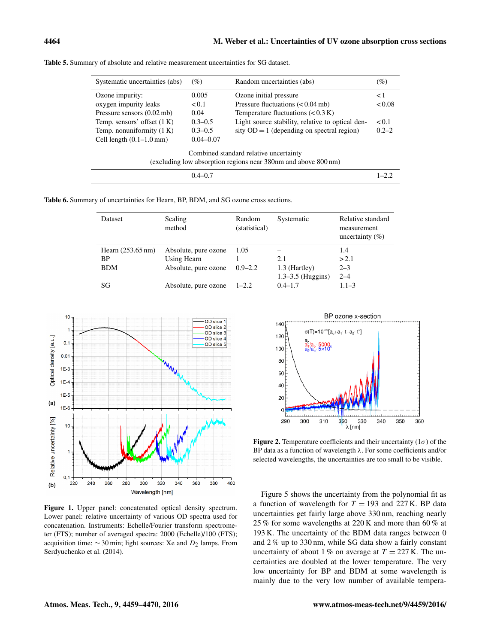| Systematic uncertainties (abs)                                                                           | (%)           | Random uncertainties (abs)                       | $( \% )$  |
|----------------------------------------------------------------------------------------------------------|---------------|--------------------------------------------------|-----------|
| Ozone impurity:                                                                                          | 0.005         | Ozone initial pressure                           | $\leq 1$  |
| oxygen impurity leaks                                                                                    | < 0.1         | Pressure fluctuations $(< 0.04 \text{ mb})$      | < 0.08    |
| Pressure sensors $(0.02 \text{ mb})$                                                                     | 0.04          | Temperature fluctuations $(< 0.3 K)$             |           |
| Temp. sensors' offset $(1 K)$                                                                            | $0.3 - 0.5$   | Light source stability, relative to optical den- | < 0.1     |
| Temp. nonuniformity $(1 K)$                                                                              | $0.3 - 0.5$   | sity $OD = 1$ (depending on spectral region)     | $0.2 - 2$ |
| Cell length $(0.1-1.0 \text{ mm})$                                                                       | $0.04 - 0.07$ |                                                  |           |
| Combined standard relative uncertainty<br>(excluding low absorption regions near 380nm and above 800 nm) |               |                                                  |           |
| $0.4 - 0.7$                                                                                              |               |                                                  | $1 - 2.2$ |

Table 5. Summary of absolute and relative measurement uncertainties for SG dataset.

Table 6. Summary of uncertainties for Hearn, BP, BDM, and SG ozone cross sections.

| Dataset                     | Scaling<br>method    | Random<br>(statistical) | Systematic            | Relative standard<br>measurement<br>uncertainty $(\% )$ |
|-----------------------------|----------------------|-------------------------|-----------------------|---------------------------------------------------------|
| Hearn $(253.65 \text{ nm})$ | Absolute, pure ozone | 1.05                    |                       | 1.4                                                     |
| ВP                          | Using Hearn          |                         | 2.1                   | > 2.1                                                   |
| <b>BDM</b>                  | Absolute, pure ozone | $0.9 - 2.2$             | 1.3 (Hartley)         | $2 - 3$                                                 |
|                             |                      |                         | $1.3 - 3.5$ (Huggins) | $2 - 4$                                                 |
| SG                          | Absolute, pure ozone | $1 - 2.2$               | $0.4 - 1.7$           | $1.1 - 3$                                               |



Figure 1. Upper panel: concatenated optical density spectrum. Lower panel: relative uncertainty of various OD spectra used for concatenation. Instruments: Echelle/Fourier transform spectrometer (FTS); number of averaged spectra: 2000 (Echelle)/100 (FTS); acquisition time:  $\sim$  30 min; light sources: Xe and  $D_2$  lamps. From Serdyuchenko et al. (2014).



**Figure 2.** Temperature coefficients and their uncertainty ( $1\sigma$ ) of the BP data as a function of wavelength  $\lambda$ . For some coefficients and/or selected wavelengths, the uncertainties are too small to be visible.

Figure 5 shows the uncertainty from the polynomial fit as a function of wavelength for  $T = 193$  and 227 K. BP data uncertainties get fairly large above 330 nm, reaching nearly 25 % for some wavelengths at 220 K and more than 60 % at 193 K. The uncertainty of the BDM data ranges between 0 and 2 % up to 330 nm, while SG data show a fairly constant uncertainty of about 1% on average at  $T = 227$  K. The uncertainties are doubled at the lower temperature. The very low uncertainty for BP and BDM at some wavelength is mainly due to the very low number of available tempera-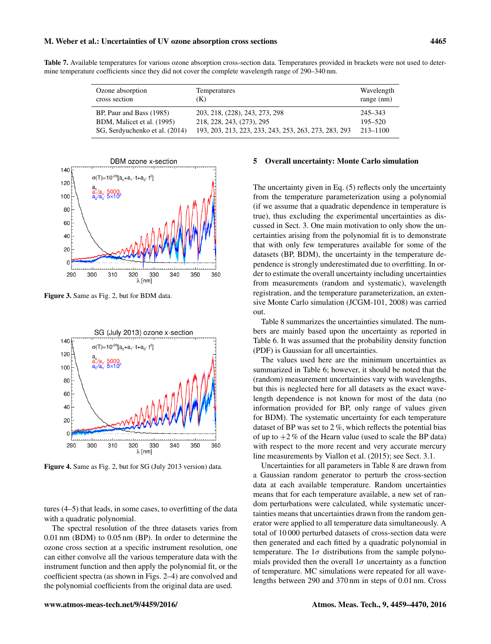### M. Weber et al.: Uncertainties of UV ozone absorption cross sections 4465

Table 7. Available temperatures for various ozone absorption cross-section data. Temperatures provided in brackets were not used to determine temperature coefficients since they did not cover the complete wavelength range of 290–340 nm.

| Ozone absorption               | Temperatures                                          | Wavelength   |
|--------------------------------|-------------------------------------------------------|--------------|
| cross section                  | (K)                                                   | $range$ (nm) |
| BP, Paur and Bass (1985)       | 203, 218, (228), 243, 273, 298                        | 245–343      |
| BDM, Malicet et al. (1995)     | 218, 228, 243, (273), 295                             | $195 - 520$  |
| SG, Serdyuchenko et al. (2014) | 193, 203, 213, 223, 233, 243, 253, 263, 273, 283, 293 | $213 - 1100$ |



Figure 3. Same as Fig. 2, but for BDM data.



Figure 4. Same as Fig. 2, but for SG (July 2013 version) data.

tures (4–5) that leads, in some cases, to overfitting of the data with a quadratic polynomial.

The spectral resolution of the three datasets varies from 0.01 nm (BDM) to 0.05 nm (BP). In order to determine the ozone cross section at a specific instrument resolution, one can either convolve all the various temperature data with the instrument function and then apply the polynomial fit, or the coefficient spectra (as shown in Figs. 2–4) are convolved and the polynomial coefficients from the original data are used.

## 5 Overall uncertainty: Monte Carlo simulation

The uncertainty given in Eq. (5) reflects only the uncertainty from the temperature parameterization using a polynomial (if we assume that a quadratic dependence in temperature is true), thus excluding the experimental uncertainties as discussed in Sect. 3. One main motivation to only show the uncertainties arising from the polynomial fit is to demonstrate that with only few temperatures available for some of the datasets (BP, BDM), the uncertainty in the temperature dependence is strongly underestimated due to overfitting. In order to estimate the overall uncertainty including uncertainties from measurements (random and systematic), wavelength registration, and the temperature parameterization, an extensive Monte Carlo simulation (JCGM-101, 2008) was carried out.

Table 8 summarizes the uncertainties simulated. The numbers are mainly based upon the uncertainty as reported in Table 6. It was assumed that the probability density function (PDF) is Gaussian for all uncertainties.

The values used here are the minimum uncertainties as summarized in Table 6; however, it should be noted that the (random) measurement uncertainties vary with wavelengths, but this is neglected here for all datasets as the exact wavelength dependence is not known for most of the data (no information provided for BP, only range of values given for BDM). The systematic uncertainty for each temperature dataset of BP was set to 2 %, which reflects the potential bias of up to  $+2\%$  of the Hearn value (used to scale the BP data) with respect to the more recent and very accurate mercury line measurements by Viallon et al. (2015); see Sect. 3.1.

Uncertainties for all parameters in Table 8 are drawn from a Gaussian random generator to perturb the cross-section data at each available temperature. Random uncertainties means that for each temperature available, a new set of random perturbations were calculated, while systematic uncertainties means that uncertainties drawn from the random generator were applied to all temperature data simultaneously. A total of 10 000 perturbed datasets of cross-section data were then generated and each fitted by a quadratic polynomial in temperature. The  $1\sigma$  distributions from the sample polynomials provided then the overall  $1\sigma$  uncertainty as a function of temperature. MC simulations were repeated for all wavelengths between 290 and 370 nm in steps of 0.01 nm. Cross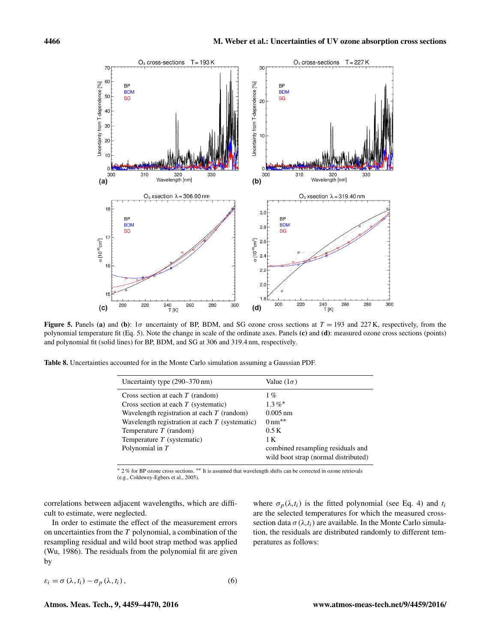

Figure 5. Panels (a) and (b):  $1\sigma$  uncertainty of BP, BDM, and SG ozone cross sections at  $T = 193$  and 227 K, respectively, from the polynomial temperature fit (Eq. 5). Note the change in scale of the ordinate axes. Panels (c) and (d): measured ozone cross sections (points) and polynomial fit (solid lines) for BP, BDM, and SG at 306 and 319.4 nm, respectively.

Table 8. Uncertainties accounted for in the Monte Carlo simulation assuming a Gaussian PDF.

| Uncertainty type (290–370 nm)                                                                                                                                                                                                                                     | Value $(1\sigma)$                                                                 |  |  |
|-------------------------------------------------------------------------------------------------------------------------------------------------------------------------------------------------------------------------------------------------------------------|-----------------------------------------------------------------------------------|--|--|
| Cross section at each $T$ (random)<br>Cross section at each $T$ (systematic)<br>Wavelength registration at each $T$ (random)<br>Wavelength registration at each $T$ (systematic)<br>Temperature $T$ (random)<br>Temperature $T$ (systematic)<br>Polynomial in $T$ | $1\%$<br>$1.3\%$ *<br>$0.005 \,\mathrm{nm}$<br>$0 \text{ nm}^{**}$<br>0.5K<br>1 K |  |  |
|                                                                                                                                                                                                                                                                   | combined resampling residuals and<br>wild boot strap (normal distributed)         |  |  |

<sup>∗</sup> 2 % for BP ozone cross sections. ∗∗ It is assumed that wavelength shifts can be corrected in ozone retrievals (e.g., Coldewey-Egbers et al., 2005).

correlations between adjacent wavelengths, which are difficult to estimate, were neglected.

In order to estimate the effect of the measurement errors on uncertainties from the  $T$  polynomial, a combination of the resampling residual and wild boot strap method was applied (Wu, 1986). The residuals from the polynomial fit are given by

where  $\sigma_p(\lambda, t_i)$  is the fitted polynomial (see Eq. 4) and  $t_i$ are the selected temperatures for which the measured crosssection data  $\sigma(\lambda, t_i)$  are available. In the Monte Carlo simulation, the residuals are distributed randomly to different temperatures as follows:

$$
\varepsilon_i = \sigma(\lambda, t_i) - \sigma_p(\lambda, t_i), \qquad (6)
$$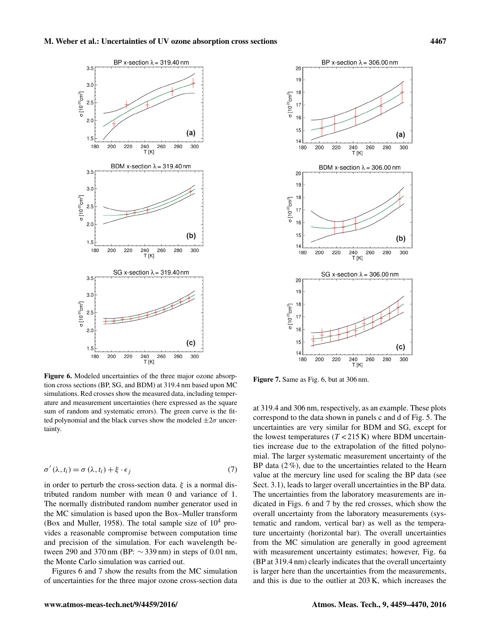

Figure 6. Modeled uncertainties of the three major ozone absorption cross sections (BP, SG, and BDM) at 319.4 nm based upon MC simulations. Red crosses show the measured data, including temperature and measurement uncertainties (here expressed as the square sum of random and systematic errors). The green curve is the fitted polynomial and the black curves show the modeled  $\pm 2\sigma$  uncertainty.

$$
\sigma'(\lambda, t_i) = \sigma(\lambda, t_i) + \xi \cdot \epsilon_j \tag{7}
$$

in order to perturb the cross-section data.  $\xi$  is a normal distributed random number with mean 0 and variance of 1. The normally distributed random number generator used in the MC simulation is based upon the Box–Muller transform (Box and Muller, 1958). The total sample size of  $10^4$  provides a reasonable compromise between computation time and precision of the simulation. For each wavelength between 290 and 370 nm (BP:  $\sim$  339 nm) in steps of 0.01 nm, the Monte Carlo simulation was carried out.

Figures 6 and 7 show the results from the MC simulation of uncertainties for the three major ozone cross-section data



Figure 7. Same as Fig. 6, but at 306 nm.

at 319.4 and 306 nm, respectively, as an example. These plots correspond to the data shown in panels c and d of Fig. 5. The uncertainties are very similar for BDM and SG, except for the lowest temperatures  $(T < 215 \text{ K})$  where BDM uncertainties increase due to the extrapolation of the fitted polynomial. The larger systematic measurement uncertainty of the BP data (2 %), due to the uncertainties related to the Hearn value at the mercury line used for scaling the BP data (see Sect. 3.1), leads to larger overall uncertainties in the BP data. The uncertainties from the laboratory measurements are indicated in Figs. 6 and 7 by the red crosses, which show the overall uncertainty from the laboratory measurements (systematic and random, vertical bar) as well as the temperature uncertainty (horizontal bar). The overall uncertainties from the MC simulation are generally in good agreement with measurement uncertainty estimates; however, Fig. 6a (BP at 319.4 nm) clearly indicates that the overall uncertainty is larger here than the uncertainties from the measurements, and this is due to the outlier at 203 K, which increases the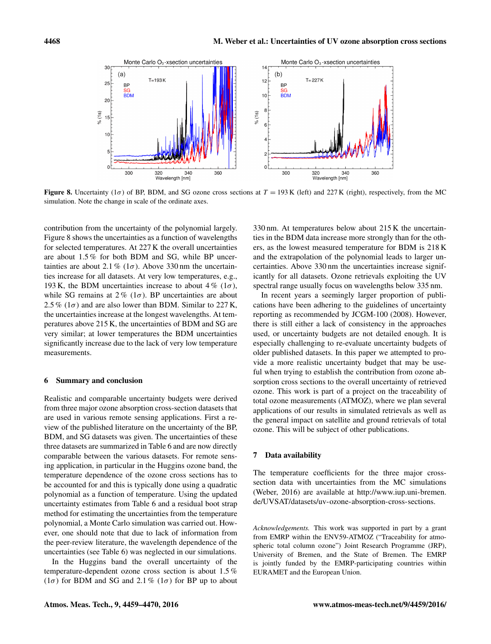

Figure 8. Uncertainty (1 $\sigma$ ) of BP, BDM, and SG ozone cross sections at  $T = 193$  K (left) and 227 K (right), respectively, from the MC simulation. Note the change in scale of the ordinate axes.

contribution from the uncertainty of the polynomial largely. Figure 8 shows the uncertainties as a function of wavelengths for selected temperatures. At 227 K the overall uncertainties are about 1.5 % for both BDM and SG, while BP uncertainties are about 2.1 % ( $1\sigma$ ). Above 330 nm the uncertainties increase for all datasets. At very low temperatures, e.g., 193 K, the BDM uncertainties increase to about 4 % ( $1\sigma$ ), while SG remains at  $2\%$  ( $1\sigma$ ). BP uncertainties are about 2.5 % ( $1\sigma$ ) and are also lower than BDM. Similar to 227 K, the uncertainties increase at the longest wavelengths. At temperatures above 215 K, the uncertainties of BDM and SG are very similar; at lower temperatures the BDM uncertainties significantly increase due to the lack of very low temperature measurements.

## 6 Summary and conclusion

Realistic and comparable uncertainty budgets were derived from three major ozone absorption cross-section datasets that are used in various remote sensing applications. First a review of the published literature on the uncertainty of the BP, BDM, and SG datasets was given. The uncertainties of these three datasets are summarized in Table 6 and are now directly comparable between the various datasets. For remote sensing application, in particular in the Huggins ozone band, the temperature dependence of the ozone cross sections has to be accounted for and this is typically done using a quadratic polynomial as a function of temperature. Using the updated uncertainty estimates from Table 6 and a residual boot strap method for estimating the uncertainties from the temperature polynomial, a Monte Carlo simulation was carried out. However, one should note that due to lack of information from the peer-review literature, the wavelength dependence of the uncertainties (see Table 6) was neglected in our simulations.

In the Huggins band the overall uncertainty of the temperature-dependent ozone cross section is about 1.5 % ( $1\sigma$ ) for BDM and SG and 2.1 % ( $1\sigma$ ) for BP up to about 330 nm. At temperatures below about 215 K the uncertainties in the BDM data increase more strongly than for the others, as the lowest measured temperature for BDM is 218 K and the extrapolation of the polynomial leads to larger uncertainties. Above 330 nm the uncertainties increase significantly for all datasets. Ozone retrievals exploiting the UV spectral range usually focus on wavelengths below 335 nm.

In recent years a seemingly larger proportion of publications have been adhering to the guidelines of uncertainty reporting as recommended by JCGM-100 (2008). However, there is still either a lack of consistency in the approaches used, or uncertainty budgets are not detailed enough. It is especially challenging to re-evaluate uncertainty budgets of older published datasets. In this paper we attempted to provide a more realistic uncertainty budget that may be useful when trying to establish the contribution from ozone absorption cross sections to the overall uncertainty of retrieved ozone. This work is part of a project on the traceability of total ozone measurements (ATMOZ), where we plan several applications of our results in simulated retrievals as well as the general impact on satellite and ground retrievals of total ozone. This will be subject of other publications.

## 7 Data availability

The temperature coefficients for the three major crosssection data with uncertainties from the MC simulations (Weber, 2016) are available at [http://www.iup.uni-bremen.](http://www.iup.uni-bremen.de/UVSAT/datasets/uv-ozone-absorption-cross-sections) [de/UVSAT/datasets/uv-ozone-absorption-cross-sections.](http://www.iup.uni-bremen.de/UVSAT/datasets/uv-ozone-absorption-cross-sections)

*Acknowledgements.* This work was supported in part by a grant from EMRP within the ENV59-ATMOZ ("Traceability for atmospheric total column ozone") Joint Research Programme (JRP), University of Bremen, and the State of Bremen. The EMRP is jointly funded by the EMRP-participating countries within EURAMET and the European Union.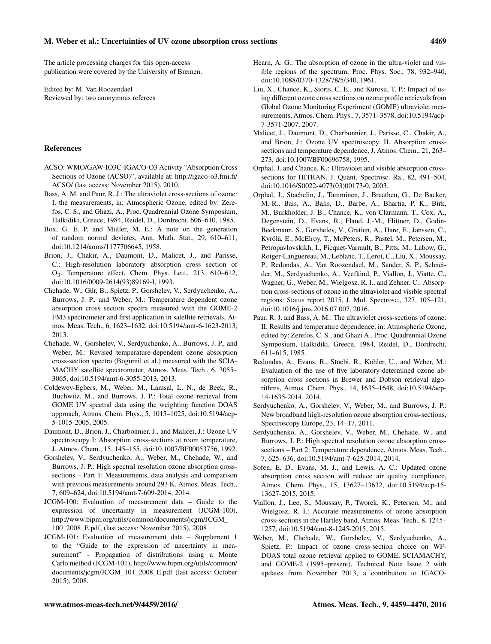The article processing charges for this open-access publication were covered by the University of Bremen.

Edited by: M. Van Roozendael Reviewed by: two anonymous referees

### References

- ACSO: WMO/GAW-IO3C-IGACO-O3 Activity "Absorption Cross Sections of Ozone (ACSO)", available at: [http://igaco-o3.fmi.fi/](http://igaco-o3.fmi.fi/ACSO/) [ACSO/](http://igaco-o3.fmi.fi/ACSO/) (last access: November 2015), 2010.
- Bass, A. M. and Paur, R. J.: The ultraviolet cross-sections of ozone: I. the measurements, in: Atmospheric Ozone, edited by: Zerefos, C. S., and Ghazi, A., Proc. Quadrennial Ozone Symposium, Halkidiki, Greece, 1984, Reidel, D., Dordrecht, 606–610, 1985.
- Box, G. E. P. and Muller, M. E.: A note on the generation of random normal deviates, Ann. Math. Stat., 29, 610–611, doi[:10.1214/aoms/1177706645,](http://dx.doi.org/10.1214/aoms/1177706645) 1958.
- Brion, J., Chakir, A., Daumont, D., Malicet, J., and Parisse, C.: High-resolution laboratory absorption cross section of O3. Temperature effect, Chem. Phys. Lett., 213, 610–612, doi[:10.1016/0009-2614\(93\)89169-I,](http://dx.doi.org/10.1016/0009-2614(93)89169-I) 1993.
- Chehade, W., Gür, B., Spietz, P., Gorshelev, V., Serdyuchenko, A., Burrows, J. P., and Weber, M.: Temperature dependent ozone absorption cross section spectra measured with the GOME-2 FM3 spectrometer and first application in satellite retrievals, Atmos. Meas. Tech., 6, 1623–1632, doi[:10.5194/amt-6-1623-2013,](http://dx.doi.org/10.5194/amt-6-1623-2013) 2013.
- Chehade, W., Gorshelev, V., Serdyuchenko, A., Burrows, J. P., and Weber, M.: Revised temperature-dependent ozone absorption cross-section spectra (Bogumil et al.) measured with the SCIA-MACHY satellite spectrometer, Atmos. Meas. Tech., 6, 3055– 3065, doi[:10.5194/amt-6-3055-2013,](http://dx.doi.org/10.5194/amt-6-3055-2013) 2013.
- Coldewey-Egbers, M., Weber, M., Lamsal, L. N., de Beek, R., Buchwitz, M., and Burrows, J. P.: Total ozone retrieval from GOME UV spectral data using the weighting function DOAS approach, Atmos. Chem. Phys., 5, 1015–1025, doi[:10.5194/acp-](http://dx.doi.org/10.5194/acp-5-1015-2005)[5-1015-2005,](http://dx.doi.org/10.5194/acp-5-1015-2005) 2005.
- Daumont, D., Brion, J., Charbonnier, J., and Malicet, J.: Ozone UV spectroscopy I: Absorption cross-sections at room temperature, J. Atmos. Chem., 15, 145–155, doi[:10.1007/BF00053756,](http://dx.doi.org/10.1007/BF00053756) 1992.
- Gorshelev, V., Serdyuchenko, A., Weber, M., Chehade, W., and Burrows, J. P.: High spectral resolution ozone absorption crosssections – Part 1: Measurements, data analysis and comparison with previous measurements around 293 K, Atmos. Meas. Tech., 7, 609–624, doi[:10.5194/amt-7-609-2014,](http://dx.doi.org/10.5194/amt-7-609-2014) 2014.
- JCGM-100: Evaluation of measurement data Guide to the expression of uncertainty in measurement (JCGM-100), [http://www.bipm.org/utils/common/documents/jcgm/JCGM\\_](http://www.bipm.org/utils/common/documents/jcgm/JCGM_100_2008_E.pdf) [100\\_2008\\_E.pdf,](http://www.bipm.org/utils/common/documents/jcgm/JCGM_100_2008_E.pdf) (last access: November 2015), 2008
- JCGM-101: Evaluation of measurement data Supplement 1 to the "Guide to the expression of uncertainty in measurement" - Propagation of distributions using a Monte Carlo method (JCGM-101), [http://www.bipm.org/utils/common/](http://www.bipm.org/utils/common/documents/jcgm/JCGM_101_2008_E.pdf) [documents/jcgm/JCGM\\_101\\_2008\\_E.pdf](http://www.bipm.org/utils/common/documents/jcgm/JCGM_101_2008_E.pdf) (last access: October 2015), 2008.
- Hearn, A. G.: The absorption of ozone in the ultra-violet and visible regions of the spectrum, Proc. Phys. Soc., 78, 932–940, doi[:10.1088/0370-1328/78/5/340,](http://dx.doi.org/10.1088/0370-1328/78/5/340) 1961.
- Liu, X., Chance, K., Sioris, C. E., and Kurosu, T. P.: Impact of using different ozone cross sections on ozone profile retrievals from Global Ozone Monitoring Experiment (GOME) ultraviolet measurements, Atmos. Chem. Phys., 7, 3571–3578, doi[:10.5194/acp-](http://dx.doi.org/10.5194/acp-7-3571-2007)[7-3571-2007,](http://dx.doi.org/10.5194/acp-7-3571-2007) 2007.
- Malicet, J., Daumont, D., Charbonnier, J., Parisse, C., Chakir, A., and Brion, J.: Ozone UV spectroscopy. II. Absorption crosssections and temperature dependence, J. Atmos. Chem., 21, 263– 273, doi[:10.1007/BF00696758,](http://dx.doi.org/10.1007/BF00696758) 1995.
- Orphal, J. and Chance, K.: Ultraviolet and visible absorption crosssections for HITRAN, J. Quant. Spectrosc. Ra., 82, 491–504, doi[:10.1016/S0022-4073\(03\)00173-0,](http://dx.doi.org/10.1016/S0022-4073(03)00173-0) 2003.
- Orphal, J., Staehelin, J., Tamminen, J., Braathen, G., De Backer, M.-R., Bais, A., Balis, D., Barbe, A., Bhartia, P. K., Birk, M., Burkholder, J. B., Chance, K., von Clarmann, T., Cox, A., Degenstein, D., Evans, R., Flaud, J.-M., Flittner, D., Godin-Beekmann, S., Gorshelev, V., Gratien, A., Hare, E., Janssen, C., Kyrölä, E., McElroy, T., McPeters, R., Pastel, M., Petersen, M., Petropavlovskikh, I., Picquet-Varrault, B., Pitts, M., Labow, G., Rotger-Languereau, M., Leblanc, T., Lerot, C., Liu, X., Moussay, P., Redondas, A., Van Roozendael, M., Sander, S. P., Schneider, M., Serdyuchenko, A., Veefkind, P., Viallon, J., Viatte, C., Wagner, G., Weber, M., Wielgosz, R. I., and Zehner, C.: Absorption cross-sections of ozone in the ultraviolet and visible spectral regions: Status report 2015, J. Mol. Spectrosc., 327, 105–121, doi[:10.1016/j.jms.2016.07.007,](http://dx.doi.org/10.1016/j.jms.2016.07.007) 2016.
- Paur, R. J. and Bass, A. M.: The ultraviolet cross-sections of ozone: II. Results and temperature dependence, in: Atmospheric Ozone, edited by: Zerefos, C. S., and Ghazi A., Proc. Quadrennial Ozone Symposium, Halkidiki, Greece, 1984, Reidel, D., Dordrecht, 611–615, 1985.
- Redondas, A., Evans, R., Stuebi, R., Köhler, U., and Weber, M.: Evaluation of the use of five laboratory-determined ozone absorption cross sections in Brewer and Dobson retrieval algorithms, Atmos. Chem. Phys., 14, 1635–1648, doi[:10.5194/acp-](http://dx.doi.org/10.5194/acp-14-1635-2014)[14-1635-2014,](http://dx.doi.org/10.5194/acp-14-1635-2014) 2014.
- Serdyuchenko, A., Gorshelev, V., Weber, M., and Burrows, J. P.: New broadband high-resolution ozone absorption cross-sections, Spectroscopy Europe, 23, 14–17, 2011.
- Serdyuchenko, A., Gorshelev, V., Weber, M., Chehade, W., and Burrows, J. P.: High spectral resolution ozone absorption crosssections – Part 2: Temperature dependence, Atmos. Meas. Tech., 7, 625–636, doi[:10.5194/amt-7-625-2014,](http://dx.doi.org/10.5194/amt-7-625-2014) 2014.
- Sofen, E. D., Evans, M. J., and Lewis, A. C.: Updated ozone absorption cross section will reduce air quality compliance, Atmos. Chem. Phys., 15, 13627–13632, doi[:10.5194/acp-15-](http://dx.doi.org/10.5194/acp-15-13627-2015) [13627-2015,](http://dx.doi.org/10.5194/acp-15-13627-2015) 2015.
- Viallon, J., Lee, S., Moussay, P., Tworek, K., Petersen, M., and Wielgosz, R. I.: Accurate measurements of ozone absorption cross-sections in the Hartley band, Atmos. Meas. Tech., 8, 1245– 1257, doi[:10.5194/amt-8-1245-2015,](http://dx.doi.org/10.5194/amt-8-1245-2015) 2015.
- Weber, M., Chehade, W., Gorshelev, V., Serdyuchenko, A., Spietz, P.: Impact of ozone cross-section choice on WF-DOAS total ozone retrieval applied to GOME, SCIAMACHY, and GOME-2 (1995–present), Technical Note Issue 2 with updates from November 2013, a contribution to IGACO-